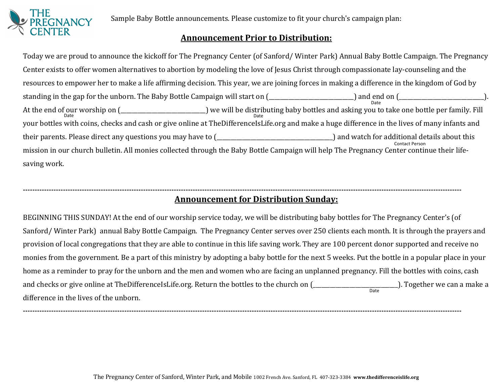

Sample Baby Bottle announcements. Please customize to fit your church's campaign plan:

## **Announcement Prior to Distribution:**

Date Date **Date** Date **Date** <sup>Contact Person</sup><br>-mission in our church bulletin. All monies collected through the Baby Bottle Campaign will help The Pregnancy Center continue their life Today we are proud to announce the kickoff for The Pregnancy Center (of Sanford/ Winter Park) Annual Baby Bottle Campaign. The Pregnancy Center exists to offer women alternatives to abortion by modeling the love of Jesus Christ through compassionate lay-counseling and the resources to empower her to make a life affirming decision. This year, we are joining forces in making a difference in the kingdom of God by standing in the gap for the unborn. The Baby Bottle Campaign will start on  $($ At the end of our worship on (\_\_\_\_\_\_\_\_\_\_\_\_\_\_\_\_\_\_\_\_\_\_\_\_) we will be distributing baby bottles and asking you to take one bottle per family. Fill your bottles with coins, checks and cash or give online at TheDifferenceIsLife.org and make a huge difference in the lives of many infants and their parents. Please direct any questions you may have to (\_\_\_\_\_\_\_\_\_\_\_\_\_\_\_\_\_\_\_\_\_\_\_\_\_\_\_\_\_\_\_\_\_\_\_\_\_\_\_\_\_) and watch for additional details about this saving work.

#### **------------------------------------------------------------------------------------------------------------------------------------------------------------------------------------------ Announcement for Distribution Sunday:**

Date and checks or give online at TheDifferenceIsLife.org. Return the bottles to the church on (\_\_\_\_\_\_\_\_\_\_\_\_\_\_\_\_\_\_\_\_\_\_\_\_\_\_\_\_\_\_). Together we can a make a BEGINNING THIS SUNDAY! At the end of our worship service today, we will be distributing baby bottles for The Pregnancy Center's (of Sanford/ Winter Park) annual Baby Bottle Campaign. The Pregnancy Center serves over 250 clients each month. It is through the prayers and provision of local congregations that they are able to continue in this life saving work. They are 100 percent donor supported and receive no monies from the government. Be a part of this ministry by adopting a baby bottle for the next 5 weeks. Put the bottle in a popular place in your home as a reminder to pray for the unborn and the men and women who are facing an unplanned pregnancy. Fill the bottles with coins, cash difference in the lives of the unborn.

**------------------------------------------------------------------------------------------------------------------------------------------------------------------------------------------**